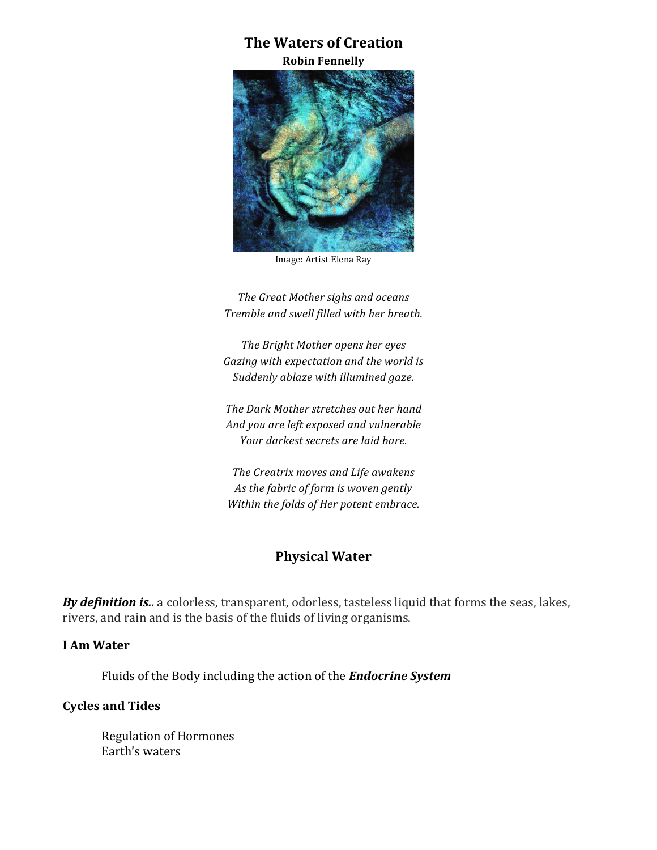# **The Waters of Creation**

**Robin Fennelly**



Image: Artist Elena Ray

*The Great Mother sighs and oceans Tremble and swell filled with her breath.*

*The Bright Mother opens her eyes* Gazing with expectation and the world is *Suddenly ablaze with illumined gaze.*

The Dark Mother stretches out her hand And you are left exposed and vulnerable *Your darkest secrets are laid bare.* 

*The Creatrix moves and Life awakens* As the fabric of form is woven gently *Within the folds of Her potent embrace.* 

# **Physical Water**

**By definition is..** a colorless, transparent, odorless, tasteless liquid that forms the seas, lakes, rivers, and rain and is the basis of the fluids of living organisms.

#### **I Am Water**

Fluids of the Body including the action of the **Endocrine System** 

#### **Cycles and Tides**

**Regulation of Hormones** Earth's waters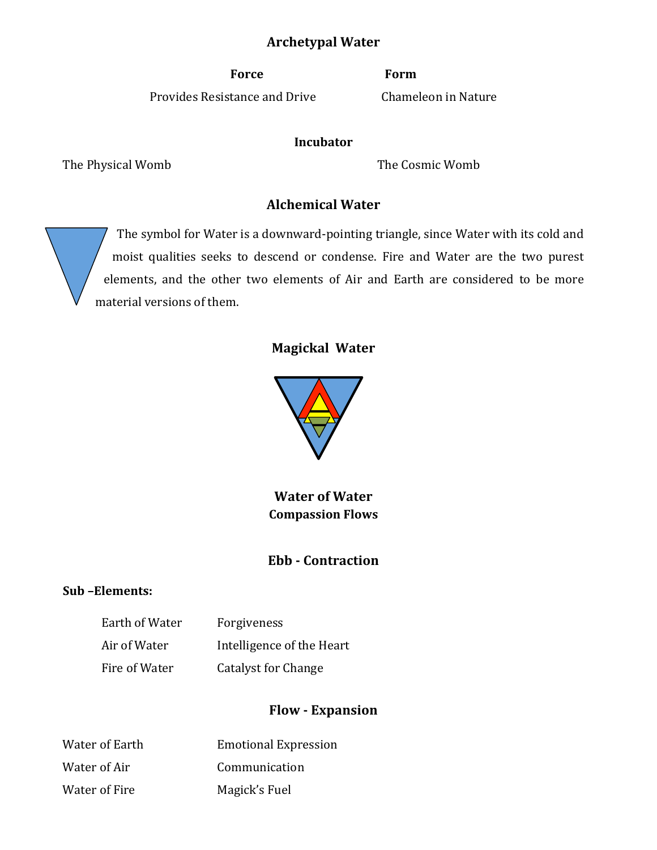# **Archetypal Water**

**Force Form**

Provides Resistance and Drive Chameleon in Nature

#### **Incubator**

The Physical Womb **The Cosmic Womb** 

# **Alchemical Water**

The symbol for Water is a downward-pointing triangle, since Water with its cold and moist qualities seeks to descend or condense. Fire and Water are the two purest elements, and the other two elements of Air and Earth are considered to be more material versions of them.

# **Magickal Water**



**Water of Water Compassion Flows**

# **Ebb - Contraction**

### **Sub –Elements:**

| Earth of Water | Forgiveness               |
|----------------|---------------------------|
| Air of Water   | Intelligence of the Heart |
| Fire of Water  | Catalyst for Change       |

# **Flow - Expansion**

| Water of Earth | <b>Emotional Expression</b> |
|----------------|-----------------------------|
| Water of Air   | Communication               |
| Water of Fire  | Magick's Fuel               |